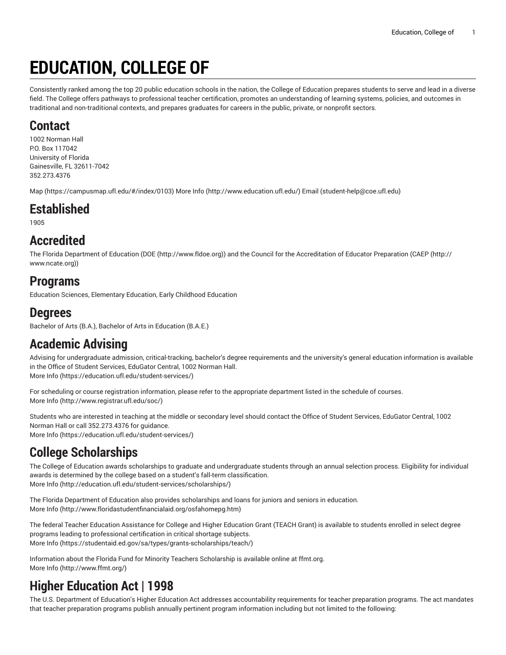# **EDUCATION, COLLEGE OF**

Consistently ranked among the top 20 public education schools in the nation, the College of Education prepares students to serve and lead in a diverse field. The College offers pathways to professional teacher certification, promotes an understanding of learning systems, policies, and outcomes in traditional and non-traditional contexts, and prepares graduates for careers in the public, private, or nonprofit sectors.

### **Contact**

1002 Norman Hall P.O. Box 117042 University of Florida Gainesville, FL 32611-7042 352.273.4376

[Map](https://campusmap.ufl.edu/#/index/0103) (<https://campusmap.ufl.edu/#/index/0103>) [More](http://www.education.ufl.edu/) Info ([http://www.education.ufl.edu/\)](http://www.education.ufl.edu/) [Email](mailto:student-help@coe.ufl.edu) [\(student-help@coe.ufl.edu](student-help@coe.ufl.edu))

## **Established**

1905

## **Accredited**

The Florida Department of Education ([DOE](http://www.fldoe.org) ([http://www.fldoe.org\)](http://www.fldoe.org)) and the Council for the Accreditation of Educator Preparation [\(CAEP](http://www.ncate.org) ([http://](http://www.ncate.org) [www.ncate.org\)](http://www.ncate.org))

## **Programs**

Education Sciences, Elementary Education, Early Childhood Education

### **Degrees**

Bachelor of Arts (B.A.), Bachelor of Arts in Education (B.A.E.)

## **Academic Advising**

Advising for undergraduate admission, critical-tracking, bachelor's degree requirements and the university's general education information is available in the Office of Student Services, EduGator Central, 1002 Norman Hall. [More](https://education.ufl.edu/student-services/) Info [\(https://education.ufl.edu/student-services/\)](https://education.ufl.edu/student-services/)

For scheduling or course registration information, please refer to the appropriate department listed in the schedule of courses. [More](http://www.registrar.ufl.edu/soc/) Info [\(http://www.registrar.ufl.edu/soc/](http://www.registrar.ufl.edu/soc/))

Students who are interested in teaching at the middle or secondary level should contact the Office of Student Services, EduGator Central, 1002 Norman Hall or call 352.273.4376 for guidance. [More](https://education.ufl.edu/student-services/) Info [\(https://education.ufl.edu/student-services/\)](https://education.ufl.edu/student-services/)

## **College Scholarships**

The College of Education awards scholarships to graduate and undergraduate students through an annual selection process. Eligibility for individual awards is determined by the college based on a student's fall-term classification. [More](http://education.ufl.edu/student-services/scholarships/) Info [\(http://education.ufl.edu/student-services/scholarships/\)](http://education.ufl.edu/student-services/scholarships/)

The Florida Department of Education also provides scholarships and loans for juniors and seniors in education. [More](http://www.floridastudentfinancialaid.org/osfahomepg.htm) Info [\(http://www.floridastudentfinancialaid.org/osfahomepg.htm](http://www.floridastudentfinancialaid.org/osfahomepg.htm))

The federal Teacher Education Assistance for College and Higher Education Grant (TEACH Grant) is available to students enrolled in select degree programs leading to professional certification in critical shortage subjects. [More](https://studentaid.ed.gov/sa/types/grants-scholarships/teach/) Info [\(https://studentaid.ed.gov/sa/types/grants-scholarships/teach/\)](https://studentaid.ed.gov/sa/types/grants-scholarships/teach/)

Information about the Florida Fund for Minority Teachers Scholarship is available online at ffmt.org. [More](http://www.ffmt.org/) Info [\(http://www.ffmt.org/\)](http://www.ffmt.org/)

## **Higher Education Act | 1998**

The U.S. Department of Education's Higher Education Act addresses accountability requirements for teacher preparation programs. The act mandates that teacher preparation programs publish annually pertinent program information including but not limited to the following: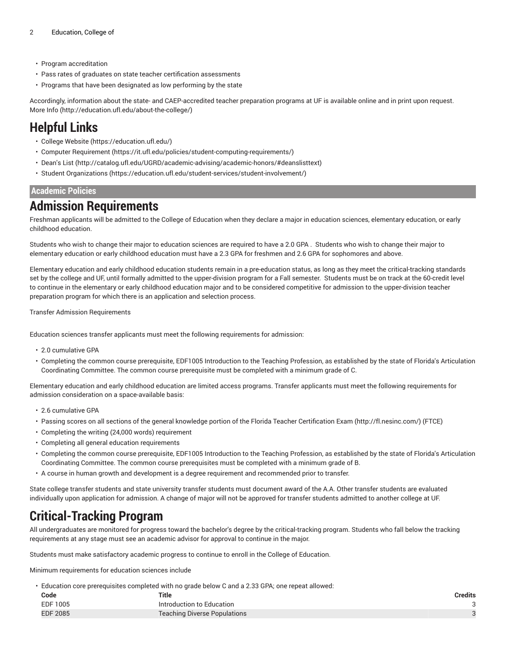- Program accreditation
- Pass rates of graduates on state teacher certification assessments
- Programs that have been designated as low performing by the state

Accordingly, information about the state- and CAEP-accredited teacher preparation programs at UF is available online and in print upon request. [More](http://education.ufl.edu/about-the-college/) Info [\(http://education.ufl.edu/about-the-college/](http://education.ufl.edu/about-the-college/))

## **Helpful Links**

- College [Website](https://education.ufl.edu/) [\(https://education.ufl.edu/\)](https://education.ufl.edu/)
- Computer [Requirement](https://it.ufl.edu/policies/student-computing-requirements/) [\(https://it.ufl.edu/policies/student-computing-requirements/](https://it.ufl.edu/policies/student-computing-requirements/))
- [Dean's](http://catalog.ufl.edu/UGRD/academic-advising/academic-honors/#deanslisttext) List ([http://catalog.ufl.edu/UGRD/academic-advising/academic-honors/#deanslisttext\)](http://catalog.ufl.edu/UGRD/academic-advising/academic-honors/#deanslisttext)
- Student [Organizations](https://education.ufl.edu/student-services/student-involvement/) [\(https://education.ufl.edu/student-services/student-involvement/](https://education.ufl.edu/student-services/student-involvement/))

#### **Academic Policies**

### **Admission Requirements**

Freshman applicants will be admitted to the College of Education when they declare a major in education sciences, elementary education, or early childhood education.

Students who wish to change their major to education sciences are required to have a 2.0 GPA . Students who wish to change their major to elementary education or early childhood education must have a 2.3 GPA for freshmen and 2.6 GPA for sophomores and above.

Elementary education and early childhood education students remain in a pre-education status, as long as they meet the critical-tracking standards set by the college and UF, until formally admitted to the upper-division program for a Fall semester. Students must be on track at the 60-credit level to continue in the elementary or early childhood education major and to be considered competitive for admission to the upper-division teacher preparation program for which there is an application and selection process.

Transfer Admission Requirements

Education sciences transfer applicants must meet the following requirements for admission:

- 2.0 cumulative GPA
- Completing the common course prerequisite, EDF1005 Introduction to the Teaching Profession, as established by the state of Florida's Articulation Coordinating Committee. The common course prerequisite must be completed with a minimum grade of C.

Elementary education and early childhood education are limited access programs. Transfer applicants must meet the following requirements for admission consideration on a space-available basis:

- 2.6 cumulative GPA
- Passing scores on all sections of the general knowledge portion of the Florida Teacher [Certification](http://fl.nesinc.com/) Exam ([http://fl.nesinc.com/\)](http://fl.nesinc.com/) (FTCE)
- Completing the writing (24,000 words) requirement
- Completing all general education requirements
- Completing the common course prerequisite, EDF1005 Introduction to the Teaching Profession, as established by the state of Florida's Articulation Coordinating Committee. The common course prerequisites must be completed with a minimum grade of B.
- A course in human growth and development is a degree requirement and recommended prior to transfer.

State college transfer students and state university transfer students must document award of the A.A. Other transfer students are evaluated individually upon application for admission. A change of major will not be approved for transfer students admitted to another college at UF.

## **Critical-Tracking Program**

All undergraduates are monitored for progress toward the bachelor's degree by the critical-tracking program. Students who fall below the tracking requirements at any stage must see an academic advisor for approval to continue in the major.

Students must make satisfactory academic progress to continue to enroll in the College of Education.

Minimum requirements for education sciences include

• Education core prerequisites completed with no grade below C and a 2.33 GPA; one repeat allowed:

| Code            | <b>Title</b>                        | Credits |
|-----------------|-------------------------------------|---------|
| EDF 1005        | Introduction to Education           |         |
| <b>EDF 2085</b> | <b>Teaching Diverse Populations</b> |         |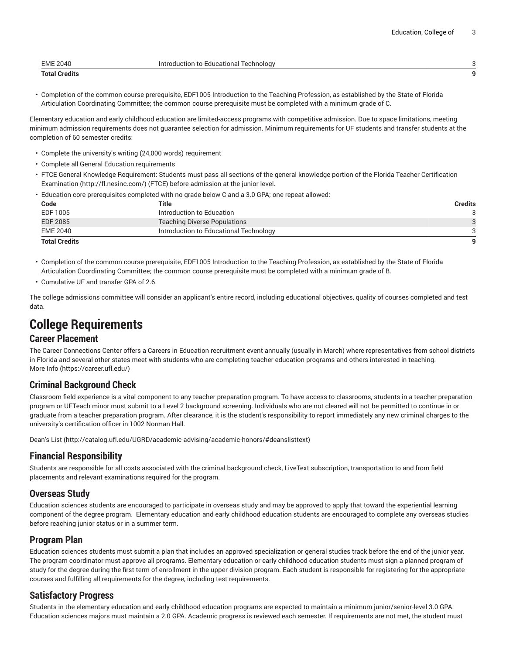| <b>EME 2040</b>      | Introduction to Educational Technology |  |
|----------------------|----------------------------------------|--|
| <b>Total Credits</b> |                                        |  |

• Completion of the common course prerequisite, EDF1005 Introduction to the Teaching Profession, as established by the State of Florida Articulation Coordinating Committee; the common course prerequisite must be completed with a minimum grade of C.

Elementary education and early childhood education are limited-access programs with competitive admission. Due to space limitations, meeting minimum admission requirements does not guarantee selection for admission. Minimum requirements for UF students and transfer students at the completion of 60 semester credits:

- Complete the university's writing (24,000 words) requirement
- Complete all General Education requirements
- FTCE General Knowledge Requirement: Students must pass all sections of the general knowledge portion of the Florida Teacher [Certification](http://fl.nesinc.com/) [Examination](http://fl.nesinc.com/) ([http://fl.nesinc.com/\)](http://fl.nesinc.com/) (FTCE) before admission at the junior level.
- Education core prerequisites completed with no grade below C and a 3.0 GPA; one repeat allowed:

| Code                 | Title                                  | Credits |
|----------------------|----------------------------------------|---------|
| EDF 1005             | Introduction to Education              |         |
| <b>EDF 2085</b>      | <b>Teaching Diverse Populations</b>    |         |
| <b>EME 2040</b>      | Introduction to Educational Technology |         |
| <b>Total Credits</b> |                                        | a       |

- Completion of the common course prerequisite, EDF1005 Introduction to the Teaching Profession, as established by the State of Florida Articulation Coordinating Committee; the common course prerequisite must be completed with a minimum grade of B.
- Cumulative UF and transfer GPA of 2.6

The college admissions committee will consider an applicant's entire record, including educational objectives, quality of courses completed and test data.

## **College Requirements**

#### **Career Placement**

The Career Connections Center offers a Careers in Education recruitment event annually (usually in March) where representatives from school districts in Florida and several other states meet with students who are completing teacher education programs and others interested in teaching. [More](https://career.ufl.edu/) Info [\(https://career.ufl.edu/\)](https://career.ufl.edu/)

### **Criminal Background Check**

Classroom field experience is a vital component to any teacher preparation program. To have access to classrooms, students in a teacher preparation program or UFTeach minor must submit to a Level 2 background screening. Individuals who are not cleared will not be permitted to continue in or graduate from a teacher preparation program. After clearance, it is the student's responsibility to report immediately any new criminal charges to the university's certification officer in 1002 Norman Hall.

[Dean's](http://catalog.ufl.edu/UGRD/academic-advising/academic-honors/#deanslisttext) List ([http://catalog.ufl.edu/UGRD/academic-advising/academic-honors/#deanslisttext\)](http://catalog.ufl.edu/UGRD/academic-advising/academic-honors/#deanslisttext)

### **Financial Responsibility**

Students are responsible for all costs associated with the criminal background check, LiveText subscription, transportation to and from field placements and relevant examinations required for the program.

### **Overseas Study**

Education sciences students are encouraged to participate in overseas study and may be approved to apply that toward the experiential learning component of the degree program. Elementary education and early childhood education students are encouraged to complete any overseas studies before reaching junior status or in a summer term.

### **Program Plan**

Education sciences students must submit a plan that includes an approved specialization or general studies track before the end of the junior year. The program coordinator must approve all programs. Elementary education or early childhood education students must sign a planned program of study for the degree during the first term of enrollment in the upper-division program. Each student is responsible for registering for the appropriate courses and fulfilling all requirements for the degree, including test requirements.

### **Satisfactory Progress**

Students in the elementary education and early childhood education programs are expected to maintain a minimum junior/senior-level 3.0 GPA. Education sciences majors must maintain a 2.0 GPA. Academic progress is reviewed each semester. If requirements are not met, the student must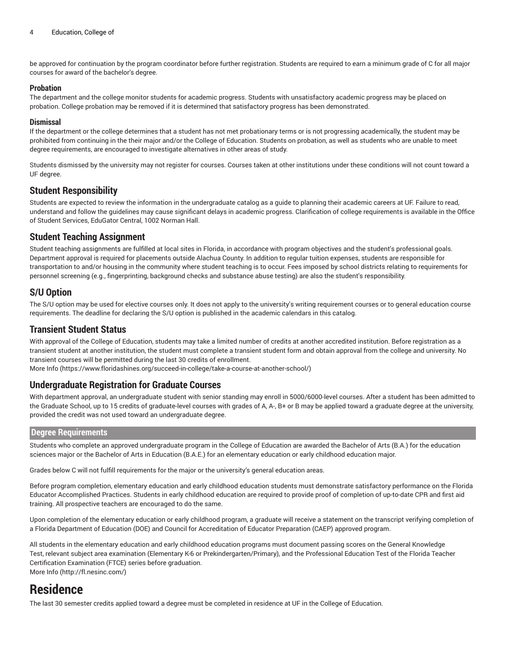be approved for continuation by the program coordinator before further registration. Students are required to earn a minimum grade of C for all major courses for award of the bachelor's degree.

#### **Probation**

The department and the college monitor students for academic progress. Students with unsatisfactory academic progress may be placed on probation. College probation may be removed if it is determined that satisfactory progress has been demonstrated.

#### **Dismissal**

If the department or the college determines that a student has not met probationary terms or is not progressing academically, the student may be prohibited from continuing in the their major and/or the College of Education. Students on probation, as well as students who are unable to meet degree requirements, are encouraged to investigate alternatives in other areas of study.

Students dismissed by the university may not register for courses. Courses taken at other institutions under these conditions will not count toward a UF degree.

#### **Student Responsibility**

Students are expected to review the information in the undergraduate catalog as a guide to planning their academic careers at UF. Failure to read, understand and follow the guidelines may cause significant delays in academic progress. Clarification of college requirements is available in the Office of Student Services, EduGator Central, 1002 Norman Hall.

### **Student Teaching Assignment**

Student teaching assignments are fulfilled at local sites in Florida, in accordance with program objectives and the student's professional goals. Department approval is required for placements outside Alachua County. In addition to regular tuition expenses, students are responsible for transportation to and/or housing in the community where student teaching is to occur. Fees imposed by school districts relating to requirements for personnel screening (e.g., fingerprinting, background checks and substance abuse testing) are also the student's responsibility.

### **S/U Option**

The S/U option may be used for elective courses only. It does not apply to the university's writing requirement courses or to general education course requirements. The deadline for declaring the S/U option is published in the academic calendars in this catalog.

### **Transient Student Status**

With approval of the College of Education, students may take a limited number of credits at another accredited institution. Before registration as a transient student at another institution, the student must complete a transient student form and obtain approval from the college and university. No transient courses will be permitted during the last 30 credits of enrollment.

[More](https://www.floridashines.org/succeed-in-college/take-a-course-at-another-school/) Info [\(https://www.floridashines.org/succeed-in-college/take-a-course-at-another-school/\)](https://www.floridashines.org/succeed-in-college/take-a-course-at-another-school/)

#### **Undergraduate Registration for Graduate Courses**

With department approval, an undergraduate student with senior standing may enroll in 5000/6000-level courses. After a student has been admitted to the Graduate School, up to 15 credits of graduate-level courses with grades of A, A-, B+ or B may be applied toward a graduate degree at the university, provided the credit was not used toward an undergraduate degree.

#### **Degree Requirements**

Students who complete an approved undergraduate program in the College of Education are awarded the Bachelor of Arts (B.A.) for the education sciences major or the Bachelor of Arts in Education (B.A.E.) for an elementary education or early childhood education major.

Grades below C will not fulfill requirements for the major or the university's general education areas.

Before program completion, elementary education and early childhood education students must demonstrate satisfactory performance on the Florida Educator Accomplished Practices. Students in early childhood education are required to provide proof of completion of up-to-date CPR and first aid training. All prospective teachers are encouraged to do the same.

Upon completion of the elementary education or early childhood program, a graduate will receive a statement on the transcript verifying completion of a Florida Department of Education (DOE) and Council for Accreditation of Educator Preparation (CAEP) approved program.

All students in the elementary education and early childhood education programs must document passing scores on the General Knowledge Test, relevant subject area examination (Elementary K-6 or Prekindergarten/Primary), and the Professional Education Test of the Florida Teacher Certification Examination (FTCE) series before graduation. [More](http://fl.nesinc.com/) Info [\(http://fl.nesinc.com/](http://fl.nesinc.com/))

### **Residence**

The last 30 semester credits applied toward a degree must be completed in residence at UF in the College of Education.